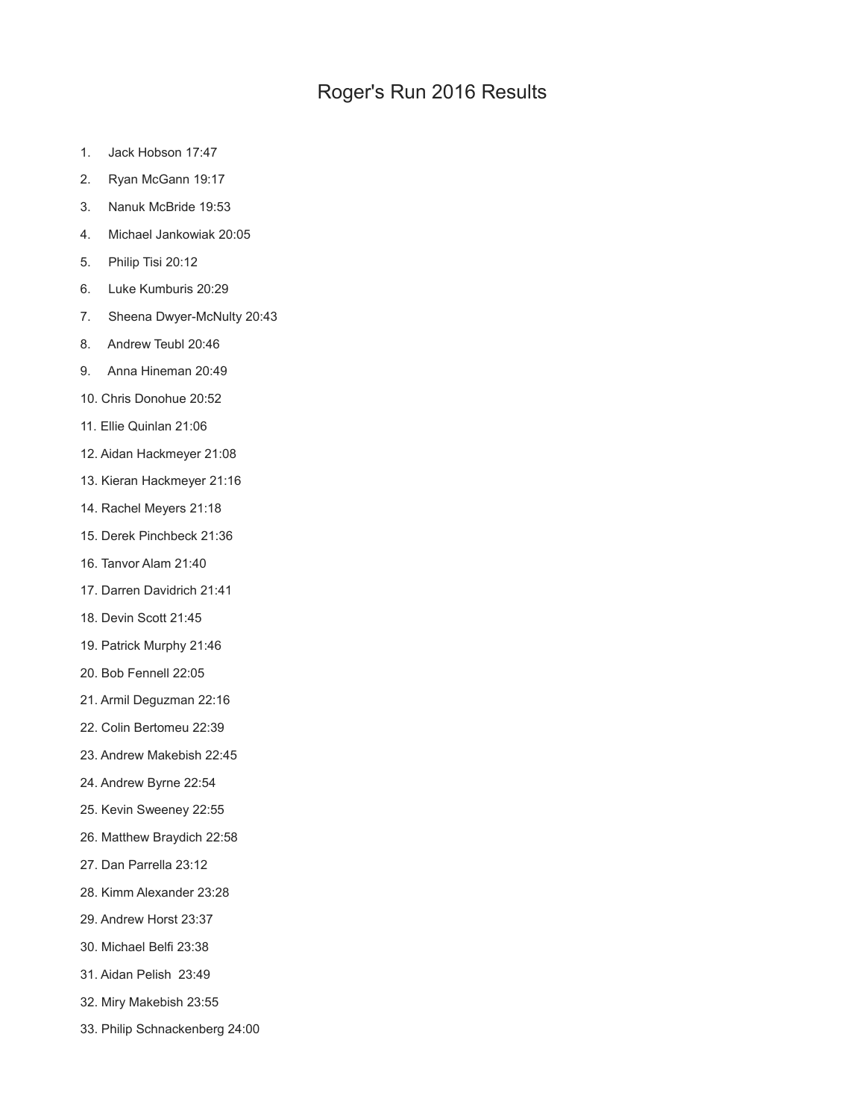## Roger's Run 2016 Results

- 1. Jack Hobson 17:47
- 2. Ryan McGann 19:17
- 3. Nanuk McBride 19:53
- 4. Michael Jankowiak 20:05
- 5. Philip Tisi 20:12
- 6. Luke Kumburis 20:29
- 7. Sheena Dwyer-McNulty 20:43
- 8. Andrew Teubl 20:46
- 9. Anna Hineman 20:49
- 10. Chris Donohue 20:52
- 11. Ellie Quinlan 21:06
- 12. Aidan Hackmeyer 21:08
- 13. Kieran Hackmeyer 21:16
- 14. Rachel Meyers 21:18
- 15. Derek Pinchbeck 21:36
- 16. Tanvor Alam 21:40
- 17. Darren Davidrich 21:41
- 18. Devin Scott 21:45
- 19. Patrick Murphy 21:46
- 20. Bob Fennell 22:05
- 21. Armil Deguzman 22:16
- 22. Colin Bertomeu 22:39
- 23. Andrew Makebish 22:45
- 24. Andrew Byrne 22:54
- 25. Kevin Sweeney 22:55
- 26. Matthew Braydich 22:58
- 27. Dan Parrella 23:12
- 28. Kimm Alexander 23:28
- 29. Andrew Horst 23:37
- 30. Michael Belfi 23:38
- 31. Aidan Pelish 23:49
- 32. Miry Makebish 23:55
- 33. Philip Schnackenberg 24:00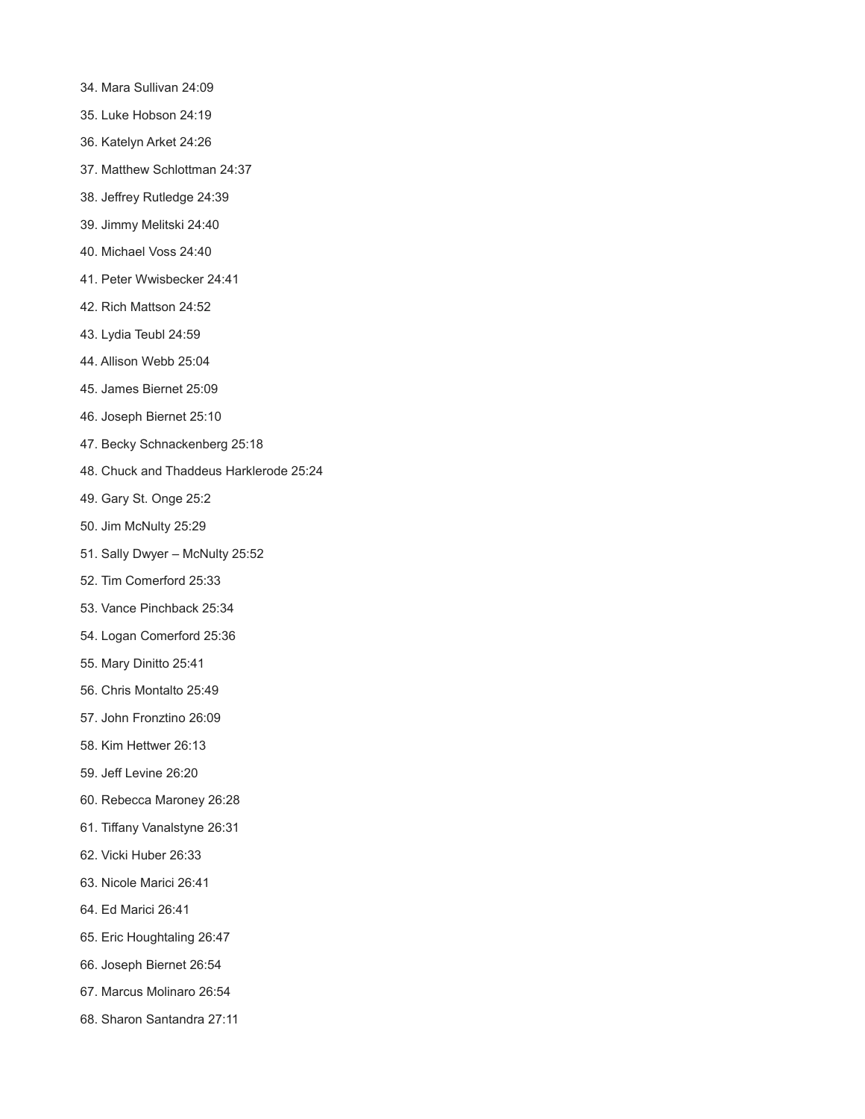- 34. Mara Sullivan 24:09
- 35. Luke Hobson 24:19
- 36. Katelyn Arket 24:26
- 37. Matthew Schlottman 24:37
- 38. Jeffrey Rutledge 24:39
- 39. Jimmy Melitski 24:40
- 40. Michael Voss 24:40
- 41. Peter Wwisbecker 24:41
- 42. Rich Mattson 24:52
- 43. Lydia Teubl 24:59
- 44. Allison Webb 25:04
- 45. James Biernet 25:09
- 46. Joseph Biernet 25:10
- 47. Becky Schnackenberg 25:18
- 48. Chuck and Thaddeus Harklerode 25:24
- 49. Gary St. Onge 25:2
- 50. Jim McNulty 25:29
- 51. Sally Dwyer McNulty 25:52
- 52. Tim Comerford 25:33
- 53. Vance Pinchback 25:34
- 54. Logan Comerford 25:36
- 55. Mary Dinitto 25:41
- 56. Chris Montalto 25:49
- 57. John Fronztino 26:09
- 58. Kim Hettwer 26:13
- 59. Jeff Levine 26:20
- 60. Rebecca Maroney 26:28
- 61. Tiffany Vanalstyne 26:31
- 62. Vicki Huber 26:33
- 63. Nicole Marici 26:41
- 64. Ed Marici 26:41
- 65. Eric Houghtaling 26:47
- 66. Joseph Biernet 26:54
- 67. Marcus Molinaro 26:54
- 68. Sharon Santandra 27:11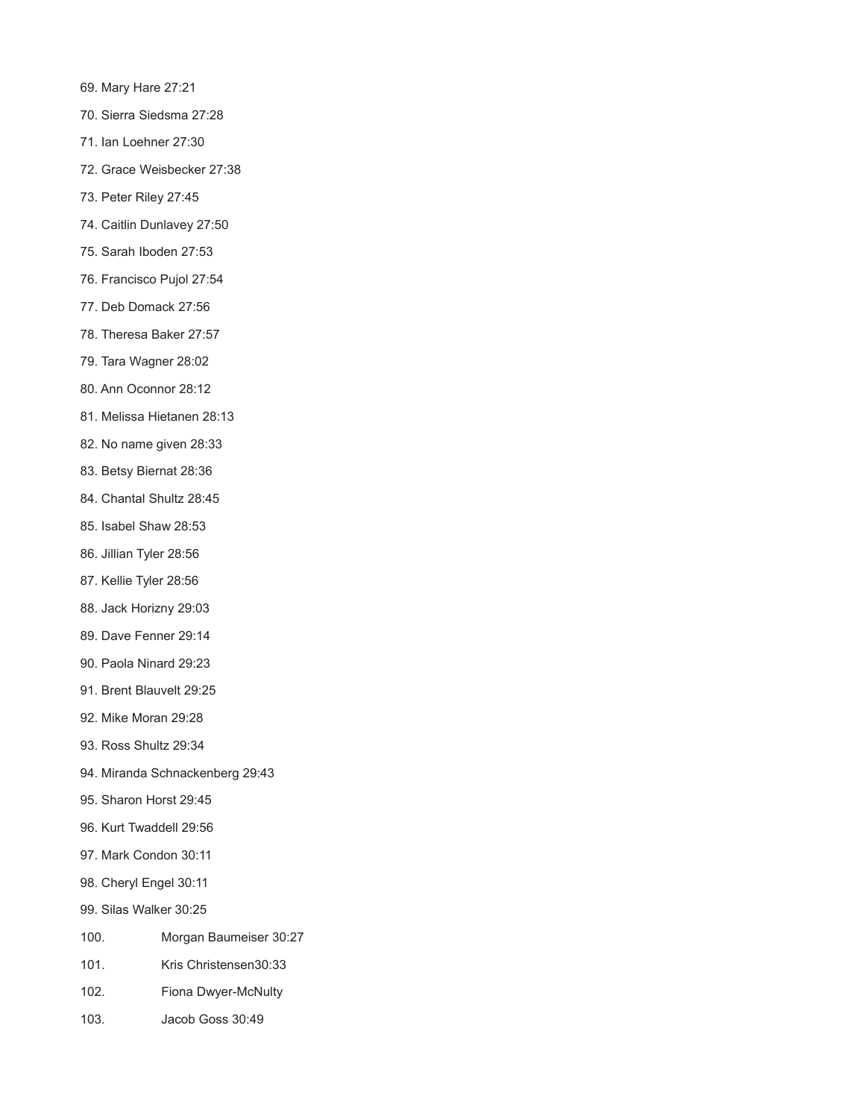- 69. Mary Hare 27:21
- 70. Sierra Siedsma 27:28
- 71. Ian Loehner 27:30
- 72. Grace Weisbecker 27:38
- 73. Peter Riley 27:45
- 74. Caitlin Dunlavey 27:50
- 75. Sarah Iboden 27:53
- 76. Francisco Pujol 27:54
- 77. Deb Domack 27:56
- 78. Theresa Baker 27:57
- 79. Tara Wagner 28:02
- 80. Ann Oconnor 28:12
- 81. Melissa Hietanen 28:13
- 82. No name given 28:33
- 83. Betsy Biernat 28:36
- 84. Chantal Shultz 28:45
- 85. Isabel Shaw 28:53
- 86. Jillian Tyler 28:56
- 87. Kellie Tyler 28:56
- 88. Jack Horizny 29:03
- 89. Dave Fenner 29:14
- 90. Paola Ninard 29:23
- 91. Brent Blauvelt 29:25
- 92. Mike Moran 29:28
- 93. Ross Shultz 29:34
- 94. Miranda Schnackenberg 29:43
- 95. Sharon Horst 29:45
- 96. Kurt Twaddell 29:56
- 97. Mark Condon 30:11
- 98. Cheryl Engel 30:11
- 99. Silas Walker 30:25
- 100. Morgan Baumeiser 30:27
- 101. Kris Christensen30:33
- 102. Fiona Dwyer-McNulty
- 103. Jacob Goss 30:49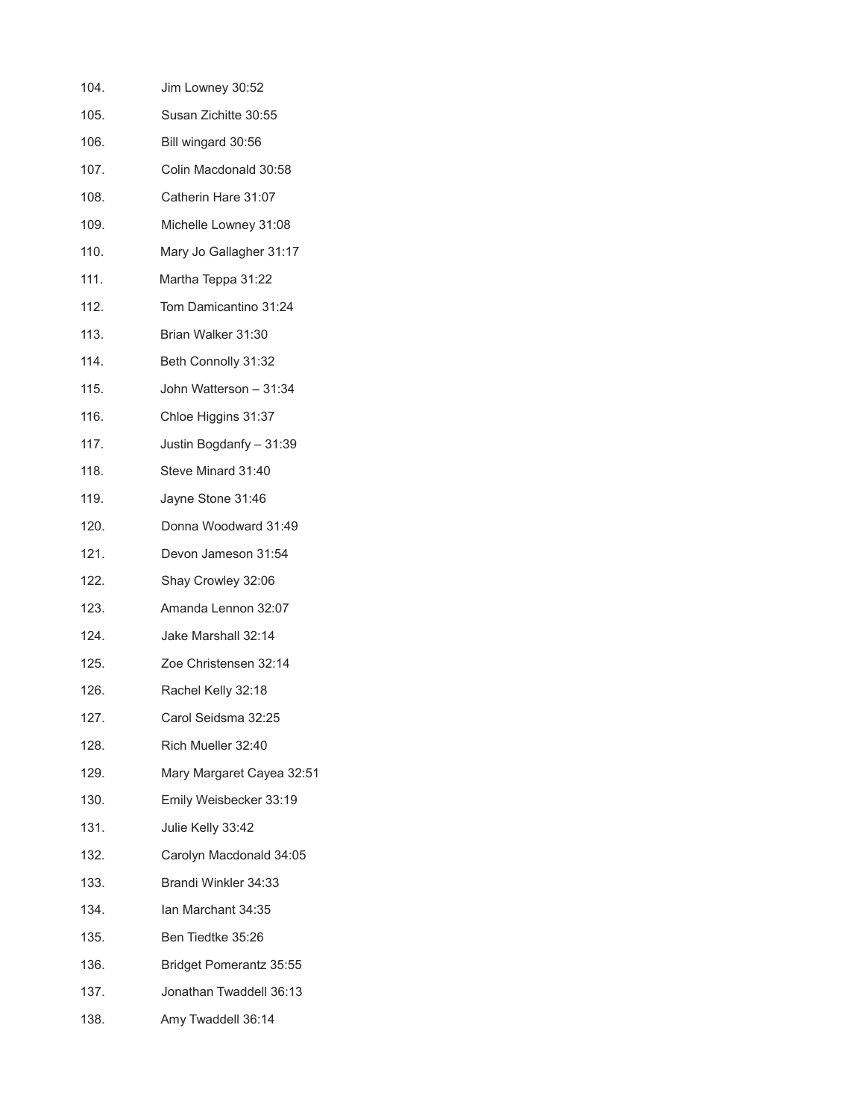| 104. | Jim Lowney 30:52          |
|------|---------------------------|
| 105. | Susan Zichitte 30:55      |
| 106. | Bill wingard 30:56        |
| 107. | Colin Macdonald 30:58     |
| 108. | Catherin Hare 31:07       |
| 109. | Michelle Lowney 31:08     |
| 110. | Mary Jo Gallagher 31:17   |
| 111. | Martha Teppa 31:22        |
| 112. | Tom Damicantino 31:24     |
| 113. | Brian Walker 31:30        |
| 114. | Beth Connolly 31:32       |
| 115. | John Watterson - 31:34    |
| 116. | Chloe Higgins 31:37       |
| 117. | Justin Bogdanfy - 31:39   |
| 118. | Steve Minard 31:40        |
| 119. | Jayne Stone 31:46         |
| 120. | Donna Woodward 31:49      |
| 121. | Devon Jameson 31:54       |
| 122. | Shay Crowley 32:06        |
| 123. | Amanda Lennon 32:07       |
| 124. | Jake Marshall 32:14       |
| 125. | Zoe Christensen 32:14     |
| 126. | Rachel Kelly 32:18        |
| 127. | Carol Seidsma 32:25       |
| 128. | Rich Mueller 32:40        |
| 129. | Mary Margaret Cayea 32:51 |
| 130. | Emily Weisbecker 33:19    |
| 131. | Julie Kelly 33:42         |
| 132. | Carolyn Macdonald 34:05   |
| 133. | Brandi Winkler 34:33      |
| 134. | Ian Marchant 34:35        |
| 135. | Ben Tiedtke 35:26         |
| 136. | Bridget Pomerantz 35:55   |
| 137. | Jonathan Twaddell 36:13   |
| 138. | Amy Twaddell 36:14        |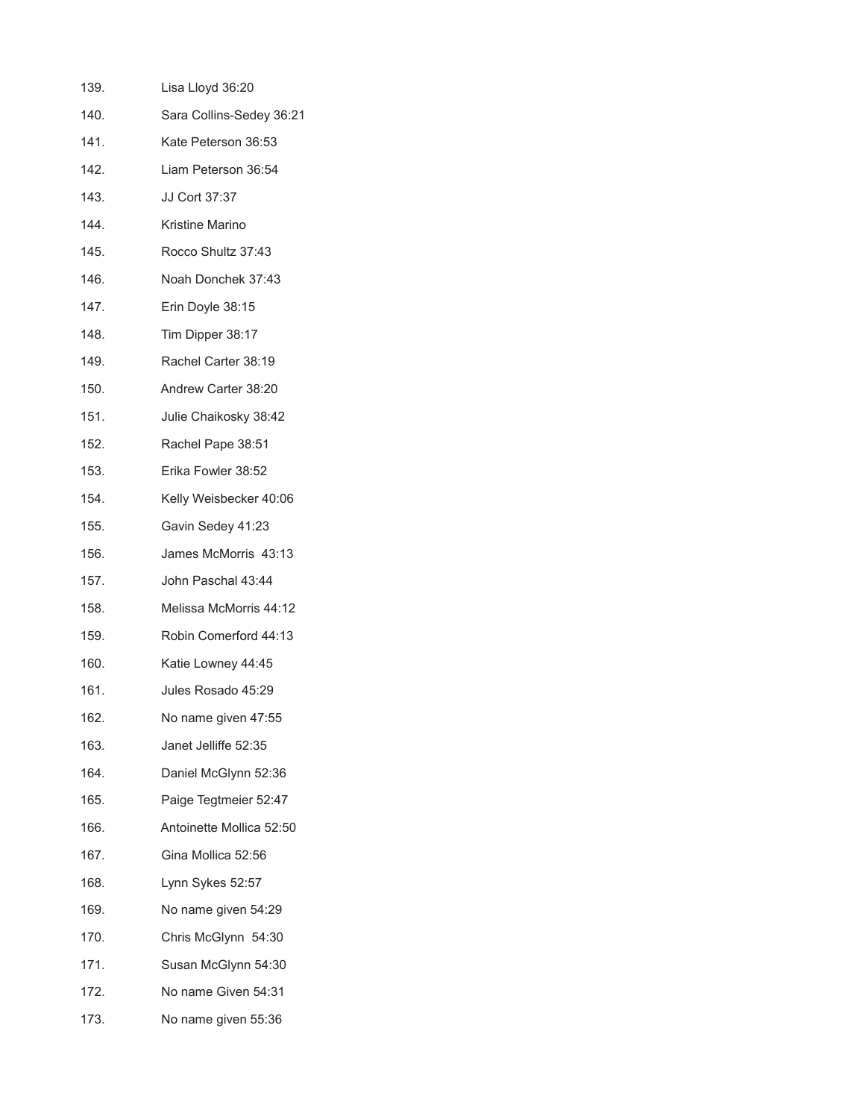| 139. | Lisa Lloyd 36:20         |
|------|--------------------------|
| 140. | Sara Collins-Sedey 36:21 |
| 141. | Kate Peterson 36:53      |
| 142. | Liam Peterson 36:54      |
| 143. | JJ Cort 37:37            |
| 144. | Kristine Marino          |
| 145. | Rocco Shultz 37:43       |
| 146. | Noah Donchek 37:43       |
| 147. | Erin Doyle 38:15         |
| 148. | Tim Dipper 38:17         |
| 149. | Rachel Carter 38:19      |
| 150. | Andrew Carter 38:20      |
| 151. | Julie Chaikosky 38:42    |
| 152. | Rachel Pape 38:51        |
| 153. | Erika Fowler 38:52       |
| 154. | Kelly Weisbecker 40:06   |
| 155. | Gavin Sedey 41:23        |
| 156. | James McMorris 43:13     |
| 157. | John Paschal 43:44       |
| 158. | Melissa McMorris 44:12   |
| 159. | Robin Comerford 44:13    |
| 160. | Katie Lowney 44:45       |
| 161. | Jules Rosado 45:29       |
| 162. | No name given 47:55      |
| 163. | Janet Jelliffe 52:35     |
| 164. | Daniel McGlynn 52:36     |
| 165. | Paige Tegtmeier 52:47    |
| 166. | Antoinette Mollica 52:50 |
| 167. | Gina Mollica 52:56       |
| 168. | Lynn Sykes 52:57         |
| 169. | No name given 54:29      |
| 170. | Chris McGlynn 54:30      |
| 171. | Susan McGlynn 54:30      |
| 172. | No name Given 54:31      |
| 173. | No name given 55:36      |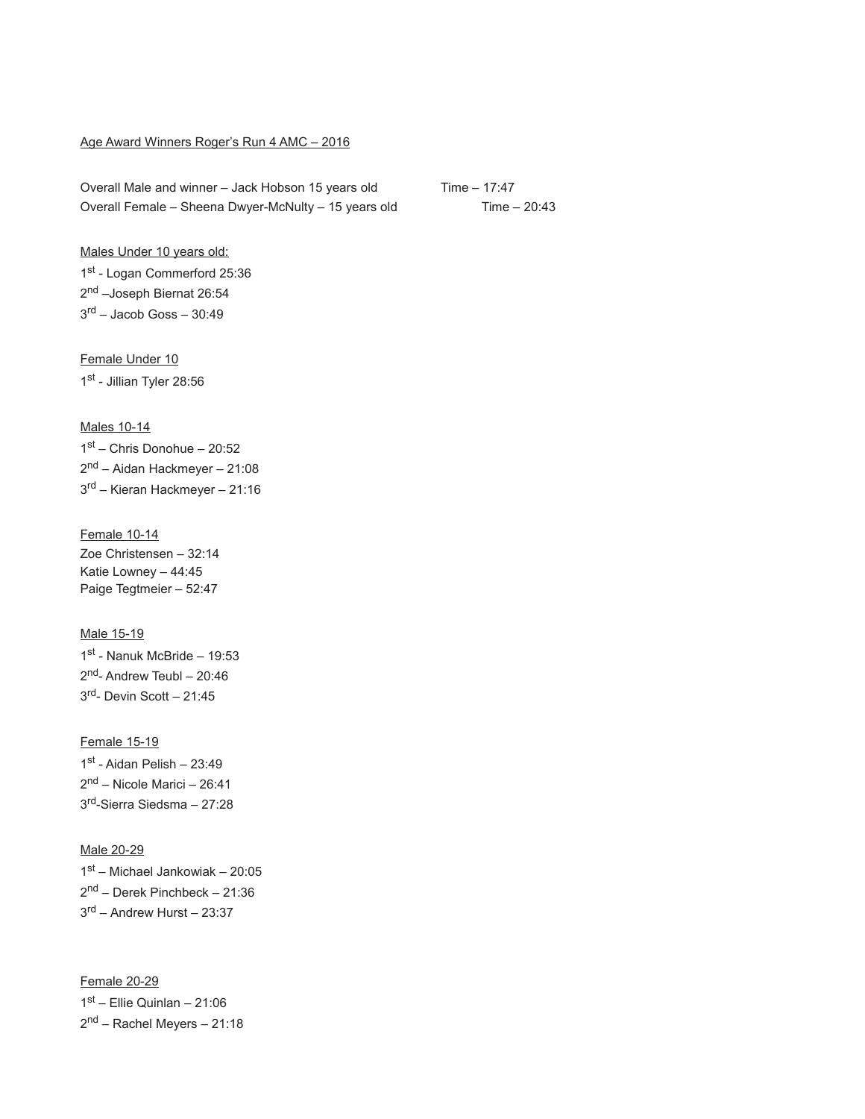## Age Award Winners Roger's Run 4 AMC – 2016

Overall Male and winner – Jack Hobson 15 years old Time – 17:47 Overall Female – Sheena Dwyer-McNulty – 15 years old Time – 20:43

Males Under 10 years old: 1st - Logan Commerford 25:36 2<sup>nd</sup> –Joseph Biernat 26:54 3 rd – Jacob Goss – 30:49

Female Under 10 1st - Jillian Tyler 28:56

Males 10-14

1 st – Chris Donohue – 20:52 2<sup>nd</sup> – Aidan Hackmeyer – 21:08 3<sup>rd</sup> – Kieran Hackmeyer – 21:16

Female 10-14 Zoe Christensen – 32:14 Katie Lowney – 44:45 Paige Tegtmeier – 52:47

Male 15-19 1 st - Nanuk McBride – 19:53 2<sup>nd</sup>- Andrew Teubl – 20:46 3 rd- Devin Scott – 21:45

Female 15-19 1st - Aidan Pelish - 23:49 2<sup>nd</sup> – Nicole Marici – 26:41 3 rd-Sierra Siedsma – 27:28

Male 20-29 1 st – Michael Jankowiak – 20:05 2<sup>nd</sup> – Derek Pinchbeck – 21:36 3 rd – Andrew Hurst – 23:37

Female 20-29 1 st – Ellie Quinlan – 21:06 2<sup>nd</sup> – Rachel Meyers – 21:18